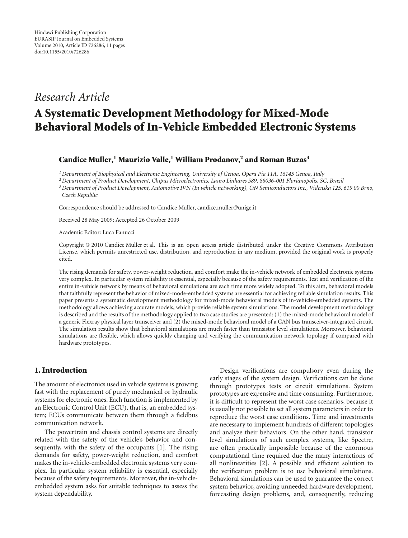## *Research Article*

# **A Systematic Development Methodology for Mixed-Mode Behavioral Models of In-Vehicle Embedded Electronic Systems**

#### **Candice Muller,1 Maurizio Valle,1 William Prodanov,2 and Roman Buzas3**

*1Department of Biophysical and Electronic Engineering, University of Genoa, Opera Pia 11A, 16145 Genoa, Italy*

*2Department of Product Development, Chipus Microelectronics, Lauro Linhares 589, 88036-001 Florianopolis, SC, Brazil*

*3Department of Product Development, Automotive IVN (In vehicle networking), ON Semiconductors Inc., Videnska 125, 619 00 Brno, Czech Republic*

Correspondence should be addressed to Candice Muller, candice.muller@unige.it

Received 28 May 2009; Accepted 26 October 2009

Academic Editor: Luca Fanucci

Copyright © 2010 Candice Muller et al. This is an open access article distributed under the Creative Commons Attribution License, which permits unrestricted use, distribution, and reproduction in any medium, provided the original work is properly cited.

The rising demands for safety, power-weight reduction, and comfort make the in-vehicle network of embedded electronic systems very complex. In particular system reliability is essential, especially because of the safety requirements. Test and verification of the entire in-vehicle network by means of behavioral simulations are each time more widely adopted. To this aim, behavioral models that faithfully represent the behavior of mixed-mode-embedded systems are essential for achieving reliable simulation results. This paper presents a systematic development methodology for mixed-mode behavioral models of in-vehicle-embedded systems. The methodology allows achieving accurate models, which provide reliable system simulations. The model development methodology is described and the results of the methodology applied to two case studies are presented: (1) the mixed-mode behavioral model of a generic Flexray physical layer transceiver and (2) the mixed-mode behavioral model of a CAN bus transceiver-integrated circuit. The simulation results show that behavioral simulations are much faster than transistor level simulations. Moreover, behavioral simulations are flexible, which allows quickly changing and verifying the communication network topology if compared with hardware prototypes.

### **1. Introduction**

The amount of electronics used in vehicle systems is growing fast with the replacement of purely mechanical or hydraulic systems for electronic ones. Each function is implemented by an Electronic Control Unit (ECU), that is, an embedded system; ECUs communicate between them through a fieldbus communication network.

The powertrain and chassis control systems are directly related with the safety of the vehicle's behavior and consequently, with the safety of the occupants [1]. The rising demands for safety, power-weight reduction, and comfort makes the in-vehicle-embedded electronic systems very complex. In particular system reliability is essential, especially because of the safety requirements. Moreover, the in-vehicleembedded system asks for suitable techniques to assess the system dependability.

Design verifications are compulsory even during the early stages of the system design. Verifications can be done through prototypes tests or circuit simulations. System prototypes are expensive and time consuming. Furthermore, it is difficult to represent the worst case scenarios, because it is usually not possible to set all system parameters in order to reproduce the worst case conditions. Time and investments are necessary to implement hundreds of different topologies and analyze their behaviors. On the other hand, transistor level simulations of such complex systems, like Spectre, are often practically impossible because of the enormous computational time required due the many interactions of all nonlinearities [2]. A possible and efficient solution to the verification problem is to use behavioral simulations. Behavioral simulations can be used to guarantee the correct system behavior, avoiding unneeded hardware development, forecasting design problems, and, consequently, reducing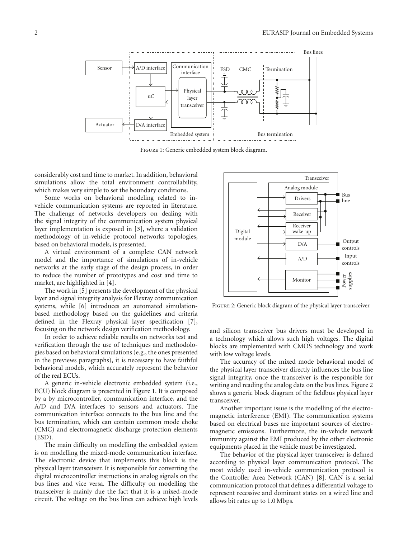

Figure 1: Generic embedded system block diagram.

considerably cost and time to market. In addition, behavioral simulations allow the total environment controllability, which makes very simple to set the boundary conditions.

Some works on behavioral modeling related to invehicle communication systems are reported in literature. The challenge of networks developers on dealing with the signal integrity of the communication system physical layer implementation is exposed in [3], where a validation methodology of in-vehicle protocol networks topologies, based on behavioral models, is presented.

A virtual environment of a complete CAN network model and the importance of simulations of in-vehicle networks at the early stage of the design process, in order to reduce the number of prototypes and cost and time to market, are highlighted in [4].

The work in [5] presents the development of the physical layer and signal integrity analysis for Flexray communication systems, while [6] introduces an automated simulationbased methodology based on the guidelines and criteria defined in the Flexray physical layer specification [7], focusing on the network design verification methodology.

In order to achieve reliable results on networks test and verification through the use of techniques and methodologies based on behavioral simulations (e.g., the ones presented in the previews paragraphs), it is necessary to have faithful behavioral models, which accurately represent the behavior of the real ECUs.

A generic in-vehicle electronic embedded system (i.e., ECU) block diagram is presented in Figure 1. It is composed by a by microcontroller, communication interface, and the A/D and D/A interfaces to sensors and actuators. The communication interface connects to the bus line and the bus termination, which can contain common mode choke (CMC) and electromagnetic discharge protection elements (ESD).

The main difficulty on modelling the embedded system is on modelling the mixed-mode communication interface. The electronic device that implements this block is the physical layer transceiver. It is responsible for converting the digital microcontroller instructions in analog signals on the bus lines and vice versa. The difficulty on modelling the transceiver is mainly due the fact that it is a mixed-mode circuit. The voltage on the bus lines can achieve high levels



Figure 2: Generic block diagram of the physical layer transceiver.

and silicon transceiver bus drivers must be developed in a technology which allows such high voltages. The digital blocks are implemented with CMOS technology and work with low voltage levels.

The accuracy of the mixed mode behavioral model of the physical layer transceiver directly influences the bus line signal integrity, once the transceiver is the responsible for writing and reading the analog data on the bus lines. Figure 2 shows a generic block diagram of the fieldbus physical layer transceiver.

Another important issue is the modelling of the electromagnetic interference (EMI). The communication systems based on electrical buses are important sources of electromagnetic emissions. Furthermore, the in-vehicle network immunity against the EMI produced by the other electronic equipments placed in the vehicle must be investigated.

The behavior of the physical layer transceiver is defined according to physical layer communication protocol. The most widely used in-vehicle communication protocol is the Controller Area Network (CAN) [8]. CAN is a serial communication protocol that defines a differential voltage to represent recessive and dominant states on a wired line and allows bit rates up to 1.0 Mbps.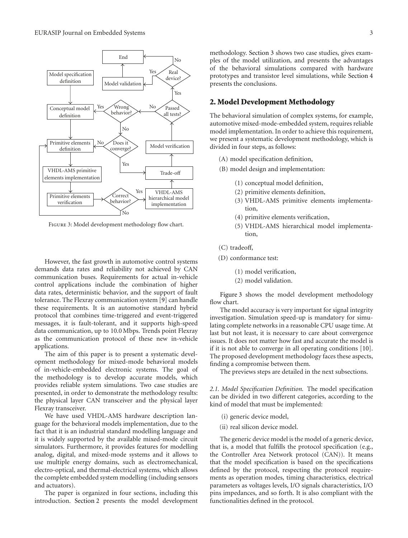

Figure 3: Model development methodology flow chart.

However, the fast growth in automotive control systems demands data rates and reliability not achieved by CAN communication buses. Requirements for actual in-vehicle control applications include the combination of higher data rates, deterministic behavior, and the support of fault tolerance. The Flexray communication system [9] can handle these requirements. It is an automotive standard hybrid protocol that combines time-triggered and event-triggered messages, it is fault-tolerant, and it supports high-speed data communication, up to 10.0 Mbps. Trends point Flexray as the communication protocol of these new in-vehicle applications.

The aim of this paper is to present a systematic development methodology for mixed-mode behavioral models of in-vehicle-embedded electronic systems. The goal of the methodology is to develop accurate models, which provides reliable system simulations. Two case studies are presented, in order to demonstrate the methodology results: the physical layer CAN transceiver and the physical layer Flexray transceiver.

We have used VHDL-AMS hardware description language for the behavioral models implementation, due to the fact that it is an industrial standard modelling language and it is widely supported by the available mixed-mode circuit simulators. Furthermore, it provides features for modelling analog, digital, and mixed-mode systems and it allows to use multiple energy domains, such as electromechanical, electro-optical, and thermal-electrical systems, which allows the complete embedded system modelling (including sensors and actuators).

The paper is organized in four sections, including this introduction. Section 2 presents the model development methodology. Section 3 shows two case studies, gives examples of the model utilization, and presents the advantages of the behavioral simulations compared with hardware prototypes and transistor level simulations, while Section 4 presents the conclusions.

#### **2. Model Development Methodology**

The behavioral simulation of complex systems, for example, automotive mixed-mode-embedded system, requires reliable model implementation. In order to achieve this requirement, we present a systematic development methodology, which is divided in four steps, as follows:

- (A) model specification definition,
- (B) model design and implementation:
	- (1) conceptual model definition,
	- (2) primitive elements definition,
	- (3) VHDL-AMS primitive elements implementation,
	- (4) primitive elements verification,
	- (5) VHDL-AMS hierarchical model implementation,
- (C) tradeoff,
- (D) conformance test:
	- (1) model verification,
	- (2) model validation.

Figure 3 shows the model development methodology flow chart.

The model accuracy is very important for signal integrity investigation. Simulation speed-up is mandatory for simulating complete networks in a reasonable CPU usage time. At last but not least, it is necessary to care about convergence issues. It does not matter how fast and accurate the model is if it is not able to converge in all operating conditions [10]. The proposed development methodology faces these aspects, finding a compromise between them.

The previews steps are detailed in the next subsections.

*2.1. Model Specification Definition.* The model specification can be divided in two different categories, according to the kind of model that must be implemented:

- (i) generic device model,
- (ii) real silicon device model.

The generic device model is the model of a generic device, that is, a model that fulfills the protocol specification (e.g., the Controller Area Network protocol (CAN)). It means that the model specification is based on the specifications defined by the protocol, respecting the protocol requirements as operation modes, timing characteristics, electrical parameters as voltages levels, I/O signals characteristics, I/O pins impedances, and so forth. It is also compliant with the functionalities defined in the protocol.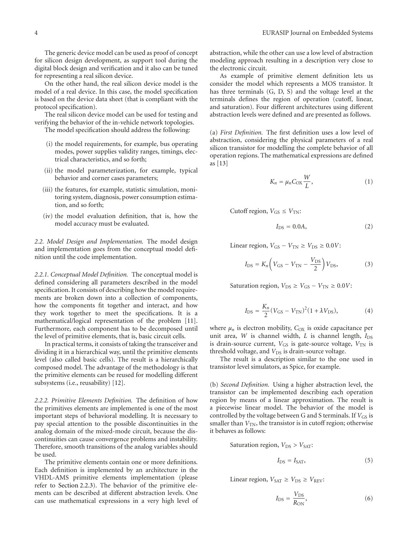The generic device model can be used as proof of concept for silicon design development, as support tool during the digital block design and verification and it also can be tuned for representing a real silicon device.

On the other hand, the real silicon device model is the model of a real device. In this case, the model specification is based on the device data sheet (that is compliant with the protocol specification).

The real silicon device model can be used for testing and verifying the behavior of the in-vehicle network topologies.

The model specification should address the following:

- (i) the model requirements, for example, bus operating modes, power supplies validity ranges, timings, electrical characteristics, and so forth;
- (ii) the model parameterization, for example, typical behavior and corner cases parameters;
- (iii) the features, for example, statistic simulation, monitoring system, diagnosis, power consumption estimation, and so forth;
- (iv) the model evaluation definition, that is, how the model accuracy must be evaluated.

*2.2. Model Design and Implementation.* The model design and implementation goes from the conceptual model definition until the code implementation.

*2.2.1. Conceptual Model Definition.* The conceptual model is defined considering all parameters described in the model specification. It consists of describing how the model requirements are broken down into a collection of components, how the components fit together and interact, and how they work together to meet the specifications. It is a mathematical/logical representation of the problem [11]. Furthermore, each component has to be decomposed until the level of primitive elements, that is, basic circuit cells.

In practical terms, it consists of taking the transceiver and dividing it in a hierarchical way, until the primitive elements level (also called basic cells). The result is a hierarchically composed model. The advantage of the methodology is that the primitive elements can be reused for modelling different subsystems (i.e., reusability) [12].

*2.2.2. Primitive Elements Definition.* The definition of how the primitives elements are implemented is one of the most important steps of behavioral modelling. It is necessary to pay special attention to the possible discontinuities in the analog domain of the mixed-mode circuit, because the discontinuities can cause convergence problems and instability. Therefore, smooth transitions of the analog variables should be used.

The primitive elements contain one or more definitions. Each definition is implemented by an architecture in the VHDL-AMS primitive elements implementation (please refer to Section 2.2.3). The behavior of the primitive elements can be described at different abstraction levels. One can use mathematical expressions in a very high level of abstraction, while the other can use a low level of abstraction modeling approach resulting in a description very close to the electronic circuit.

As example of primitive element definition lets us consider the model which represents a MOS transistor. It has three terminals (G, D, S) and the voltage level at the terminals defines the region of operation (cutoff, linear, and saturation). Four different architectures using different abstraction levels were defined and are presented as follows.

(a) *First Definition.* The first definition uses a low level of abstraction, considering the physical parameters of a real silicon transistor for modelling the complete behavior of all operation regions. The mathematical expressions are defined as [13]

$$
K_n = \mu_n C_{\text{OX}} \frac{W}{L},\tag{1}
$$

Cutoff region,  $V_{GS} \leq V_{TN}$ :

$$
I_{\rm DS} = 0.0A,\t\t(2)
$$

Linear region,  $V_{GS} - V_{TN} \geq V_{DS} \geq 0.0V$ :

$$
I_{\rm DS} = K_n \left( V_{\rm GS} - V_{\rm TN} - \frac{V_{\rm DS}}{2} \right) V_{\rm DS},\tag{3}
$$

Saturation region,  $V_{DS} \geq V_{GS} - V_{TN} \geq 0.0V$ :

$$
I_{\rm DS} = \frac{K_n}{2} (V_{\rm GS} - V_{\rm TN})^2 (1 + \lambda V_{\rm DS}),\tag{4}
$$

where  $\mu_n$  is electron mobility,  $C_{OX}$  is oxide capacitance per unit area, *W* is channel width, *L* is channel length,  $I_{DS}$ is drain-source current,  $V_{GS}$  is gate-source voltage,  $V_{TN}$  is threshold voltage, and  $V_{DS}$  is drain-source voltage.

The result is a description similar to the one used in transistor level simulators, as Spice, for example.

(b) *Second Definition.* Using a higher abstraction level, the transistor can be implemented describing each operation region by means of a linear approximation. The result is a piecewise linear model. The behavior of the model is controlled by the voltage between G and S terminals. If  $V_{GS}$  is smaller than  $V_{TN}$ , the transistor is in cutoff region; otherwise it behaves as follows:

Saturation region,  $V_{DS} > V_{SAT}$ :

$$
I_{\rm DS} = I_{\rm SAT},\tag{5}
$$

Linear region,  $V_{\text{SAT}} \geq V_{\text{DS}} \geq V_{\text{REV}}$ :

$$
I_{\rm DS} = \frac{V_{\rm DS}}{R_{\rm ON}},\tag{6}
$$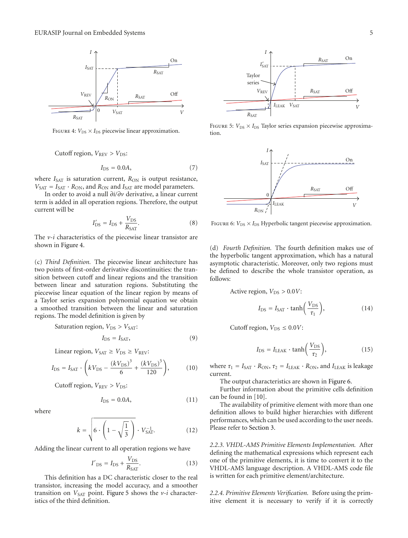

FIGURE 4:  $V_{DS} \times I_{DS}$  piecewise linear approximation.

Cutoff region,  $V_{\text{REV}} > V_{\text{DS}}$ :

$$
I_{\rm DS} = 0.0A,\t\t(7)
$$

where  $I_{SAT}$  is saturation current,  $R_{ON}$  is output resistance,  $V_{\text{SAT}} = I_{\text{SAT}} \cdot R_{\text{ON}}$ , and  $R_{\text{ON}}$  and  $I_{\text{SAT}}$  are model parameters.

In order to avoid a null *∂i/∂v* derivative, a linear current term is added in all operation regions. Therefore, the output current will be

$$
I'_{\rm DS} = I_{\rm DS} + \frac{V_{\rm DS}}{R_{\rm SAT}}.\t(8)
$$

The *v*-*i* characteristics of the piecewise linear transistor are shown in Figure 4.

(c) *Third Definition.* The piecewise linear architecture has two points of first-order derivative discontinuities: the transition between cutoff and linear regions and the transition between linear and saturation regions. Substituting the piecewise linear equation of the linear region by means of a Taylor series expansion polynomial equation we obtain a smoothed transition between the linear and saturation regions. The model definition is given by

Saturation region,  $V_{DS} > V_{SAT}$ :

$$
I_{\rm DS} = I_{\rm SAT},\tag{9}
$$

Linear region,  $V_{\text{SAT}} \geq V_{\text{DS}} \geq V_{\text{REV}}$ :

$$
I_{\rm DS} = I_{\rm SAT} \cdot \left( kV_{\rm DS} - \frac{(kV_{\rm DS})^3}{6} + \frac{(kV_{\rm DS})^5}{120} \right),\tag{10}
$$

Cutoff region,  $V_{REV} > V_{DS}$ :

$$
I_{\rm DS} = 0.0A, \tag{11}
$$

where

$$
k = \sqrt{6 \cdot \left(1 - \sqrt{\frac{1}{3}}\right)} \cdot V_{\text{SAT}}^{-1}.
$$
 (12)

Adding the linear current to all operation regions we have

$$
I'_{\rm DS} = I_{\rm DS} + \frac{V_{\rm DS}}{R_{\rm SAT}}.\tag{13}
$$

This definition has a DC characteristic closer to the real transistor, increasing the model accuracy, and a smoother transition on  $V_{\text{SAT}}$  point. Figure 5 shows the  $v-i$  characteristics of the third definition.



FIGURE 5:  $V_{DS} \times I_{DS}$  Taylor series expansion piecewise approximation.



FIGURE 6:  $V_{DS} \times I_{DS}$  Hyperbolic tangent piecewise approximation.

(d) *Fourth Definition.* The fourth definition makes use of the hyperbolic tangent approximation, which has a natural asymptotic characteristic. Moreover, only two regions must be defined to describe the whole transistor operation, as follows:

Active region,  $V_{DS} > 0.0V$ :

$$
I_{\rm DS} = I_{\rm SAT} \cdot \tanh\left(\frac{V_{\rm DS}}{\tau_1}\right),\tag{14}
$$

Cutoff region,  $V_{DS} \leq 0.0V$ :

$$
I_{\rm DS} = I_{\rm LEAK} \cdot \tanh\left(\frac{V_{\rm DS}}{\tau_2}\right),\tag{15}
$$

where  $\tau_1 = I_{SAT} \cdot R_{ON}, \tau_2 = I_{LEAK} \cdot R_{ON}$ , and  $I_{LEAK}$  is leakage current.

The output characteristics are shown in Figure 6.

Further information about the primitive cells definition can be found in [10].

The availability of primitive element with more than one definition allows to build higher hierarchies with different performances, which can be used according to the user needs. Please refer to Section 3.

*2.2.3. VHDL-AMS Primitive Elements Implementation.* After defining the mathematical expressions which represent each one of the primitive elements, it is time to convert it to the VHDL-AMS language description. A VHDL-AMS code file is written for each primitive element/architecture.

*2.2.4. Primitive Elements Verification.* Before using the primitive element it is necessary to verify if it is correctly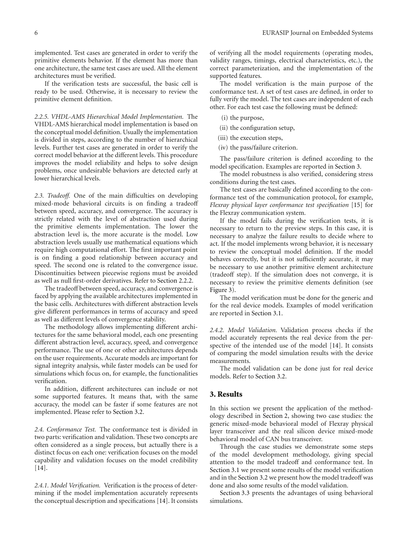implemented. Test cases are generated in order to verify the primitive elements behavior. If the element has more than one architecture, the same test cases are used. All the element architectures must be verified.

If the verification tests are successful, the basic cell is ready to be used. Otherwise, it is necessary to review the primitive element definition.

*2.2.5. VHDL-AMS Hierarchical Model Implementation.* The VHDL-AMS hierarchical model implementation is based on the conceptual model definition. Usually the implementation is divided in steps, according to the number of hierarchical levels. Further test cases are generated in order to verify the correct model behavior at the different levels. This procedure improves the model reliability and helps to solve design problems, once undesirable behaviors are detected early at lower hierarchical levels.

*2.3. Tradeoff.* One of the main difficulties on developing mixed-mode behavioral circuits is on finding a tradeoff between speed, accuracy, and convergence. The accuracy is strictly related with the level of abstraction used during the primitive elements implementation. The lower the abstraction level is, the more accurate is the model. Low abstraction levels usually use mathematical equations which require high computational effort. The first important point is on finding a good relationship between accuracy and speed. The second one is related to the convergence issue. Discontinuities between piecewise regions must be avoided as well as null first-order derivatives. Refer to Section 2.2.2.

The tradeoff between speed, accuracy, and convergence is faced by applying the available architectures implemented in the basic cells. Architectures with different abstraction levels give different performances in terms of accuracy and speed as well as different levels of convergence stability.

The methodology allows implementing different architectures for the same behavioral model, each one presenting different abstraction level, accuracy, speed, and convergence performance. The use of one or other architectures depends on the user requirements. Accurate models are important for signal integrity analysis, while faster models can be used for simulations which focus on, for example, the functionalities verification.

In addition, different architectures can include or not some supported features. It means that, with the same accuracy, the model can be faster if some features are not implemented. Please refer to Section 3.2.

*2.4. Conformance Test.* The conformance test is divided in two parts: verification and validation. These two concepts are often considered as a single process, but actually there is a distinct focus on each one: verification focuses on the model capability and validation focuses on the model credibility [14].

*2.4.1. Model Verification.* Verification is the process of determining if the model implementation accurately represents the conceptual description and specifications [14]. It consists of verifying all the model requirements (operating modes, validity ranges, timings, electrical characteristics, etc.), the correct parameterization, and the implementation of the supported features.

The model verification is the main purpose of the conformance test. A set of test cases are defined, in order to fully verify the model. The test cases are independent of each other. For each test case the following must be defined:

- (i) the purpose,
- (ii) the configuration setup,
- (iii) the execution steps,
- (iv) the pass/failure criterion.

The pass/failure criterion is defined according to the model specification. Examples are reported in Section 3.

The model robustness is also verified, considering stress conditions during the test cases.

The test cases are basically defined according to the conformance test of the communication protocol, for example, *Flexray physical layer conformance test specification* [15] for the Flexray communication system.

If the model fails during the verification tests, it is necessary to return to the preview steps. In this case, it is necessary to analyze the failure results to decide where to act. If the model implements wrong behavior, it is necessary to review the conceptual model definition. If the model behaves correctly, but it is not sufficiently accurate, it may be necessary to use another primitive element architecture (tradeoff step). If the simulation does not converge, it is necessary to review the primitive elements definition (see Figure 3).

The model verification must be done for the generic and for the real device models. Examples of model verification are reported in Section 3.1.

*2.4.2. Model Validation.* Validation process checks if the model accurately represents the real device from the perspective of the intended use of the model [14]. It consists of comparing the model simulation results with the device measurements.

The model validation can be done just for real device models. Refer to Section 3.2.

#### **3. Results**

In this section we present the application of the methodology described in Section 2, showing two case studies: the generic mixed-mode behavioral model of Flexray physical layer transceiver and the real silicon device mixed-mode behavioral model of CAN bus transceiver.

Through the case studies we demonstrate some steps of the model development methodology, giving special attention to the model tradeoff and conformance test. In Section 3.1 we present some results of the model verification and in the Section 3.2 we present how the model tradeoff was done and also some results of the model validation.

Section 3.3 presents the advantages of using behavioral simulations.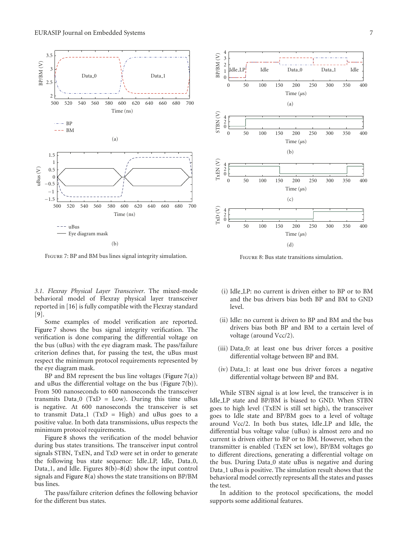

Figure 7: BP and BM bus lines signal integrity simulation.

*3.1. Flexray Physical Layer Transceiver.* The mixed-mode behavioral model of Flexray physical layer transceiver reported in [16] is fully compatible with the Flexray standard [9].

Some examples of model verification are reported. Figure 7 shows the bus signal integrity verification. The verification is done comparing the differential voltage on the bus (uBus) with the eye diagram mask. The pass/failure criterion defines that, for passing the test, the uBus must respect the minimum protocol requirements represented by the eye diagram mask.

BP and BM represent the bus line voltages (Figure  $7(a)$ ) and uBus the differential voltage on the bus (Figure 7(b)). From 500 nanoseconds to 600 nanoseconds the transceiver transmits Data<sub>-0</sub> (TxD = Low). During this time uBus is negative. At 600 nanoseconds the transceiver is set to transmit Data<sub>-1</sub> (TxD = High) and uBus goes to a positive value. In both data transmissions, uBus respects the minimum protocol requirements.

Figure 8 shows the verification of the model behavior during bus states transitions. The transceiver input control signals STBN, TxEN, and TxD were set in order to generate the following bus state sequence: Idle LP, Idle, Data 0, Data<sub>-1</sub>, and Idle. Figures  $8(b)$ - $8(d)$  show the input control signals and Figure 8(a) shows the state transitions on BP/BM bus lines.

The pass/failure criterion defines the following behavior for the different bus states.



Figure 8: Bus state transitions simulation.

- (i) Idle LP: no current is driven either to BP or to BM and the bus drivers bias both BP and BM to GND level.
- (ii) Idle: no current is driven to BP and BM and the bus drivers bias both BP and BM to a certain level of voltage (around Vcc/2).
- (iii) Data<sub>-0</sub>: at least one bus driver forces a positive differential voltage between BP and BM.
- (iv) Data 1: at least one bus driver forces a negative differential voltage between BP and BM.

While STBN signal is at low level, the transceiver is in Idle LP state and BP/BM is biased to GND. When STBN goes to high level (TxEN is still set high), the transceiver goes to Idle state and BP/BM goes to a level of voltage around Vcc/2. In both bus states, Idle LP and Idle, the differential bus voltage value (uBus) is almost zero and no current is driven either to BP or to BM. However, when the transmitter is enabled (TxEN set low), BP/BM voltages go to different directions, generating a differential voltage on the bus. During Data<sub>-0</sub> state uBus is negative and during Data<sub>-1</sub> uBus is positive. The simulation result shows that the behavioral model correctly represents all the states and passes the test.

In addition to the protocol specifications, the model supports some additional features.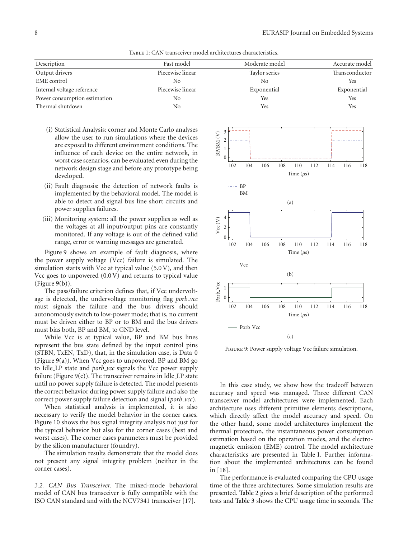| TABLE 1: CAN transceiver model architectures characteristics. |  |
|---------------------------------------------------------------|--|
|---------------------------------------------------------------|--|

| Description                  | Fast model       | Moderate model | Accurate model |
|------------------------------|------------------|----------------|----------------|
| Output drivers               | Piecewise linear | Taylor series  | Transconductor |
| EME control                  | No               | No             | Yes            |
| Internal voltage reference   | Piecewise linear | Exponential    | Exponential    |
| Power consumption estimation | No               | Yes            | Yes            |
| Thermal shutdown             | No               | Yes            | Yes            |
|                              |                  |                |                |

- (i) Statistical Analysis: corner and Monte Carlo analyses allow the user to run simulations where the devices are exposed to different environment conditions. The influence of each device on the entire network, in worst case scenarios, can be evaluated even during the network design stage and before any prototype being developed.
- (ii) Fault diagnosis: the detection of network faults is implemented by the behavioral model. The model is able to detect and signal bus line short circuits and power supplies failures.
- (iii) Monitoring system: all the power supplies as well as the voltages at all input/output pins are constantly monitored. If any voltage is out of the defined valid range, error or warning messages are generated.

Figure 9 shows an example of fault diagnosis, where the power supply voltage (Vcc) failure is simulated. The simulation starts with Vcc at typical value (5.0 V), and then Vcc goes to unpowered  $(0.0 \text{ V})$  and returns to typical value  $(Figure 9(b)).$ 

The pass/failure criterion defines that, if Vcc undervoltage is detected, the undervoltage monitoring flag *porb vcc* must signals the failure and the bus drivers should autonomously switch to low-power mode; that is, no current must be driven either to BP or to BM and the bus drivers must bias both, BP and BM, to GND level.

While Vcc is at typical value, BP and BM bus lines represent the bus state defined by the input control pins  $(STBN, TxEN, TxD)$ , that, in the simulation case, is Data 0 (Figure  $9(a)$ ). When Vcc goes to unpowered, BP and BM go to Idle LP state and *porb vcc* signals the Vcc power supply failure (Figure  $9(c)$ ). The transceiver remains in Idle LP state until no power supply failure is detected. The model presents the correct behavior during power supply failure and also the correct power supply failure detection and signal (*porb vcc*).

When statistical analysis is implemented, it is also necessary to verify the model behavior in the corner cases. Figure 10 shows the bus signal integrity analysis not just for the typical behavior but also for the corner cases (best and worst cases). The corner cases parameters must be provided by the silicon manufacturer (foundry).

The simulation results demonstrate that the model does not present any signal integrity problem (neither in the corner cases).

*3.2. CAN Bus Transceiver.* The mixed-mode behavioral model of CAN bus transceiver is fully compatible with the ISO CAN standard and with the NCV7341 transceiver [17].



Figure 9: Power supply voltage Vcc failure simulation.

In this case study, we show how the tradeoff between accuracy and speed was managed. Three different CAN transceiver model architectures were implemented. Each architecture uses different primitive elements descriptions, which directly affect the model accuracy and speed. On the other hand, some model architectures implement the thermal protection, the instantaneous power consumption estimation based on the operation modes, and the electromagnetic emission (EME) control. The model architecture characteristics are presented in Table 1. Further information about the implemented architectures can be found in [18].

The performance is evaluated comparing the CPU usage time of the three architectures. Some simulation results are presented. Table 2 gives a brief description of the performed tests and Table 3 shows the CPU usage time in seconds. The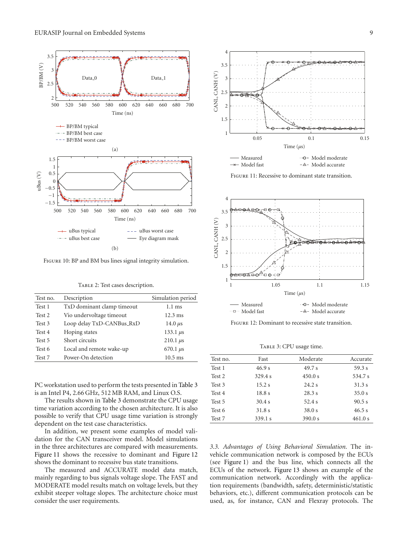

Figure 10: BP and BM bus lines signal integrity simulation.

| TABLE 2: Test cases description. |  |
|----------------------------------|--|
|----------------------------------|--|

| Test no. | Description                | Simulation period |
|----------|----------------------------|-------------------|
| Test 1   | TxD dominant clamp timeout | $1.1 \text{ ms}$  |
| Test 2   | Vio undervoltage timeout   | $12.3 \text{ ms}$ |
| Test 3   | Loop delay TxD-CANBus_RxD  | 14.0 $\mu$ s      |
| Test 4   | Hoping states              | 133.1 $\mu$ s     |
| Test 5   | Short circuits             | $210.1 \,\mu s$   |
| Test 6   | Local and remote wake-up   | 670.1 $\mu$ s     |
| Test 7   | Power-On detection         | $10.5$ ms         |

PC workstation used to perform the tests presented in Table 3 is an Intel P4, 2.66 GHz, 512 MB RAM, and Linux O.S.

The results shown in Table 3 demonstrate the CPU usage time variation according to the chosen architecture. It is also possible to verify that CPU usage time variation is strongly dependent on the test case characteristics.

In addition, we present some examples of model validation for the CAN transceiver model. Model simulations in the three architectures are compared with measurements. Figure 11 shows the recessive to dominant and Figure 12 shows the dominant to recessive bus state transitions.

The measured and ACCURATE model data match, mainly regarding to bus signals voltage slope. The FAST and MODERATE model results match on voltage levels, but they exhibit steeper voltage slopes. The architecture choice must consider the user requirements.



Figure 11: Recessive to dominant state transition.



Figure 12: Dominant to recessive state transition.

TABLE 3: CPU usage time.

| Test no. | Fast    | Moderate | Accurate |
|----------|---------|----------|----------|
| Test 1   | 46.9 s  | 49.7 s   | 59.3 s   |
| Test 2   | 329.4 s | 450.0 s  | 534.7 s  |
| Test 3   | 15.2 s  | 24.2 s   | 31.3s    |
| Test 4   | 18.8 s  | 28.3 s   | 35.0 s   |
| Test 5   | 30.4 s  | 52.4 s   | 90.5 s   |
| Test 6   | 31.8s   | 38.0 s   | 46.5 s   |
| Test 7   | 339.1 s | 390.0 s  | 461.0 s  |

*3.3. Advantages of Using Behavioral Simulation.* The invehicle communication network is composed by the ECUs (see Figure 1) and the bus line, which connects all the ECUs of the network. Figure 13 shows an example of the communication network. Accordingly with the application requirements (bandwidth, safety, deterministic/statistic behaviors, etc.), different communication protocols can be used, as, for instance, CAN and Flexray protocols. The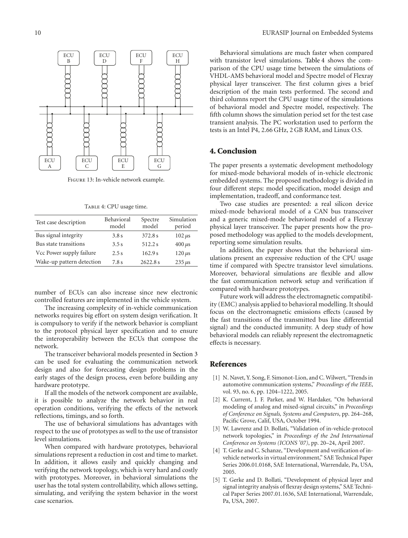

Figure 13: In-vehicle network example.

Table 4: CPU usage time.

| Test case description     | Behavioral<br>model | Spectre<br>model | Simulation<br>period |
|---------------------------|---------------------|------------------|----------------------|
| Bus signal integrity      | 3.8s                | 372.8 s          | $102 \mu s$          |
| Bus state transitions     | 3.5 s               | 512.2 s          | $400 \mu s$          |
| Vcc Power supply failure  | 2.5 s               | 162.9 s          | $120 \mu s$          |
| Wake-up pattern detection | 7.8s                | 2622.8s          | $235 \mu s$          |

number of ECUs can also increase since new electronic controlled features are implemented in the vehicle system.

The increasing complexity of in-vehicle communication networks requires big effort on system design verification. It is compulsory to verify if the network behavior is compliant to the protocol physical layer specification and to ensure the interoperability between the ECUs that compose the network.

The transceiver behavioral models presented in Section 3 can be used for evaluating the communication network design and also for forecasting design problems in the early stages of the design process, even before building any hardware prototype.

If all the models of the network component are available, it is possible to analyze the network behavior in real operation conditions, verifying the effects of the network reflections, timings, and so forth.

The use of behavioral simulations has advantages with respect to the use of prototypes as well to the use of transistor level simulations.

When compared with hardware prototypes, behavioral simulations represent a reduction in cost and time to market. In addition, it allows easily and quickly changing and verifying the network topology, which is very hard and costly with prototypes. Moreover, in behavioral simulations the user has the total system controllability, which allows setting, simulating, and verifying the system behavior in the worst case scenarios.

Behavioral simulations are much faster when compared with transistor level simulations. Table 4 shows the comparison of the CPU usage time between the simulations of VHDL-AMS behavioral model and Spectre model of Flexray physical layer transceiver. The first column gives a brief description of the main tests performed. The second and third columns report the CPU usage time of the simulations of behavioral model and Spectre model, respectively. The fifth column shows the simulation period set for the test case transient analysis. The PC workstation used to perform the tests is an Intel P4, 2.66 GHz, 2 GB RAM, and Linux O.S.

#### **4. Conclusion**

The paper presents a systematic development methodology for mixed-mode behavioral models of in-vehicle electronic embedded systems. The proposed methodology is divided in four different steps: model specification, model design and implementation, tradeoff, and conformance test.

Two case studies are presented: a real silicon device mixed-mode behavioral model of a CAN bus transceiver and a generic mixed-mode behavioral model of a Flexray physical layer transceiver. The paper presents how the proposed methodology was applied to the models development, reporting some simulation results.

In addition, the paper shows that the behavioral simulations present an expressive reduction of the CPU usage time if compared with Spectre transistor level simulations. Moreover, behavioral simulations are flexible and allow the fast communication network setup and verification if compared with hardware prototypes.

Future work will address the electromagnetic compatibility (EMC) analysis applied to behavioral modelling. It should focus on the electromagnetic emissions effects (caused by the fast transitions of the transmitted bus line differential signal) and the conducted immunity. A deep study of how behavioral models can reliably represent the electromagnetic effects is necessary.

#### **References**

- [1] N. Navet, Y. Song, F. Simonot-Lion, and C. Wilwert, "Trends in automotive communication systems," *Proceedings of the IEEE*, vol. 93, no. 6, pp. 1204–1222, 2005.
- [2] K. Current, J. F. Parker, and W. Hardaker, "On behavioral modeling of analog and mixed-signal circuits," in *Proceedings of Conference on Signals, Systems and Computers*, pp. 264–268, Pacific Grove, Calif, USA, October 1994.
- [3] W. Lawrenz and D. Bollati, "Validation of in-vehicle-protocol network topologies," in *Proceedings of the 2nd International Conference on Systems (ICONS '07)*, pp. 20–24, April 2007.
- [4] T. Gerke and C. Schanze, "Development and verification of invehicle networks in virtual environment," SAE Technical Paper Series 2006.01.0168, SAE International, Warrendale, Pa, USA, 2005.
- [5] T. Gerke and D. Bollati, "Development of physical layer and signal integrity analysis of flexray design systems," SAE Technical Paper Series 2007.01.1636, SAE International, Warrendale, Pa, USA, 2007.